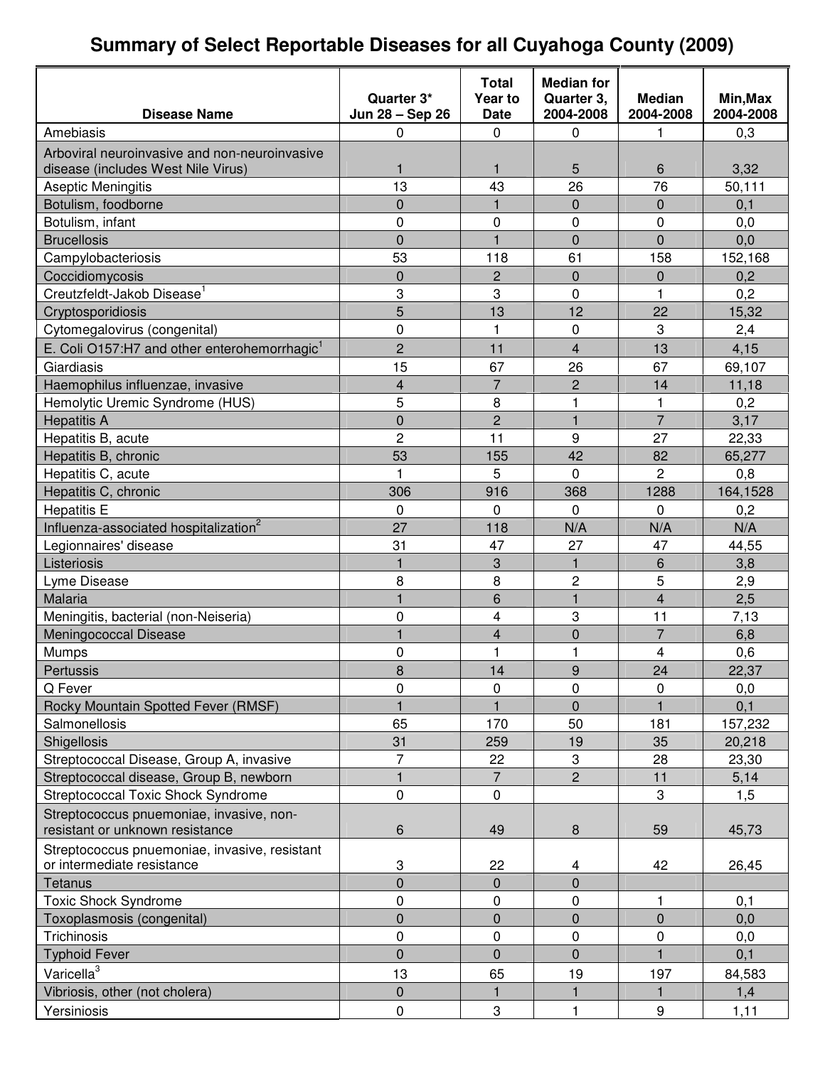## **Summary of Select Reportable Diseases for all Cuyahoga County (2009)**

|                                                          |                               | <b>Total</b>           | <b>Median for</b>       |                            |                       |
|----------------------------------------------------------|-------------------------------|------------------------|-------------------------|----------------------------|-----------------------|
| <b>Disease Name</b>                                      | Quarter 3*<br>Jun 28 - Sep 26 | Year to<br><b>Date</b> | Quarter 3,<br>2004-2008 | <b>Median</b><br>2004-2008 | Min, Max<br>2004-2008 |
| Amebiasis                                                | 0                             | 0                      | 0                       | 1                          | 0,3                   |
| Arboviral neuroinvasive and non-neuroinvasive            |                               |                        |                         |                            |                       |
| disease (includes West Nile Virus)                       | 1                             | 1                      | 5                       | 6                          | 3,32                  |
| Aseptic Meningitis                                       | 13                            | 43                     | 26                      | 76                         | 50,111                |
| Botulism, foodborne                                      | 0                             | $\mathbf{1}$           | $\mathbf 0$             | 0                          | 0,1                   |
| Botulism, infant                                         | 0                             | $\boldsymbol{0}$       | $\mathbf 0$             | 0                          | 0,0                   |
| <b>Brucellosis</b>                                       | 0                             | $\mathbf{1}$           | $\overline{0}$          | $\overline{0}$             | 0,0                   |
| Campylobacteriosis                                       | 53                            | 118                    | 61                      | 158                        | 152,168               |
| Coccidiomycosis                                          | 0                             | $\overline{c}$         | $\Omega$                | 0                          | 0,2                   |
| Creutzfeldt-Jakob Disease <sup>1</sup>                   | 3                             | 3                      | $\mathbf 0$             | 1                          | 0,2                   |
| Cryptosporidiosis                                        | 5                             | 13                     | 12                      | 22                         | 15,32                 |
| Cytomegalovirus (congenital)                             | 0                             | 1                      | 0                       | 3                          | 2,4                   |
| E. Coli O157:H7 and other enterohemorrhagic <sup>1</sup> | $\overline{2}$                | 11                     | $\overline{4}$          | 13                         | 4,15                  |
| Giardiasis                                               | 15                            | 67                     | 26                      | 67                         | 69,107                |
| Haemophilus influenzae, invasive                         | $\overline{\mathbf{4}}$       | $\overline{7}$         | $\overline{c}$          | 14                         | 11,18                 |
| Hemolytic Uremic Syndrome (HUS)                          | 5                             | 8                      | 1                       | 1                          | 0,2                   |
| <b>Hepatitis A</b>                                       | 0                             | $\overline{2}$         | $\mathbf{1}$            | $\overline{7}$             | 3,17                  |
| Hepatitis B, acute                                       | $\overline{c}$                | 11                     | 9                       | 27                         | 22,33                 |
| Hepatitis B, chronic                                     | 53                            | 155                    | 42                      | 82                         | 65,277                |
| Hepatitis C, acute                                       | 1                             | 5                      | 0                       | 2                          | 0,8                   |
| Hepatitis C, chronic                                     | 306                           | 916                    | 368                     | 1288                       | 164,1528              |
| <b>Hepatitis E</b>                                       | 0                             | 0                      | 0                       | $\Omega$                   | 0,2                   |
| Influenza-associated hospitalization <sup>2</sup>        | 27                            | 118                    | N/A                     | N/A                        | N/A                   |
| Legionnaires' disease                                    | 31                            | 47                     | 27                      | 47                         | 44,55                 |
| Listeriosis                                              | $\mathbf{1}$                  | 3                      | 1                       | 6                          | 3,8                   |
| Lyme Disease                                             | 8                             | 8                      | $\overline{c}$          | 5                          | 2,9                   |
| Malaria                                                  | $\mathbf{1}$                  | 6                      | $\mathbf{1}$            | 4                          | 2,5                   |
| Meningitis, bacterial (non-Neiseria)                     | 0                             | 4                      | 3                       | 11                         | 7,13                  |
| Meningococcal Disease                                    | $\mathbf{1}$                  | 4                      | $\mathbf 0$             | $\overline{7}$             | 6,8                   |
| <b>Mumps</b>                                             | 0                             | 1                      | 1                       | 4                          | 0,6                   |
| Pertussis                                                | 8                             | 14                     | $\mathsf{Q}$            | 24                         | 22,37                 |
| Q Fever                                                  | 0                             | 0                      | 0                       | 0                          | 0,0                   |
| Rocky Mountain Spotted Fever (RMSF)                      | $\mathbf{1}$                  |                        | $\mathbf 0$             |                            | 0,1                   |
| Salmonellosis                                            | 65                            | 170                    | 50                      | 181                        | 157,232               |
| Shigellosis                                              | 31                            | 259                    | 19                      | 35                         | 20,218                |
| Streptococcal Disease, Group A, invasive                 | $\overline{7}$                | 22                     | 3                       | 28                         | 23,30                 |
| Streptococcal disease, Group B, newborn                  | $\mathbf{1}$                  | $\overline{7}$         | $\overline{2}$          | 11                         | 5,14                  |
| Streptococcal Toxic Shock Syndrome                       | 0                             | 0                      |                         | 3                          | 1,5                   |
| Streptococcus pnuemoniae, invasive, non-                 |                               |                        |                         |                            |                       |
| resistant or unknown resistance                          | 6                             | 49                     | 8                       | 59                         | 45,73                 |
| Streptococcus pnuemoniae, invasive, resistant            |                               |                        |                         |                            |                       |
| or intermediate resistance                               | 3                             | 22                     | 4                       | 42                         | 26,45                 |
| Tetanus                                                  | $\overline{0}$                | $\overline{0}$         | $\overline{0}$          |                            |                       |
| <b>Toxic Shock Syndrome</b>                              | 0                             | 0                      | 0                       | 1                          | 0,1                   |
| Toxoplasmosis (congenital)                               | 0                             | 0                      | $\pmb{0}$               | $\pmb{0}$                  | 0,0                   |
| Trichinosis                                              | 0                             | 0                      | 0                       | 0                          | 0,0                   |
| <b>Typhoid Fever</b>                                     | $\overline{0}$                | $\overline{0}$         | $\overline{0}$          | 1                          | 0,1                   |
| Varicella <sup>3</sup>                                   | 13                            | 65                     | 19                      | 197                        | 84,583                |
| Vibriosis, other (not cholera)                           | 0                             | 1                      | 1                       | 1                          | 1,4                   |
| Yersiniosis                                              | 0                             | 3                      | $\mathbf{1}$            | $\boldsymbol{9}$           | 1,11                  |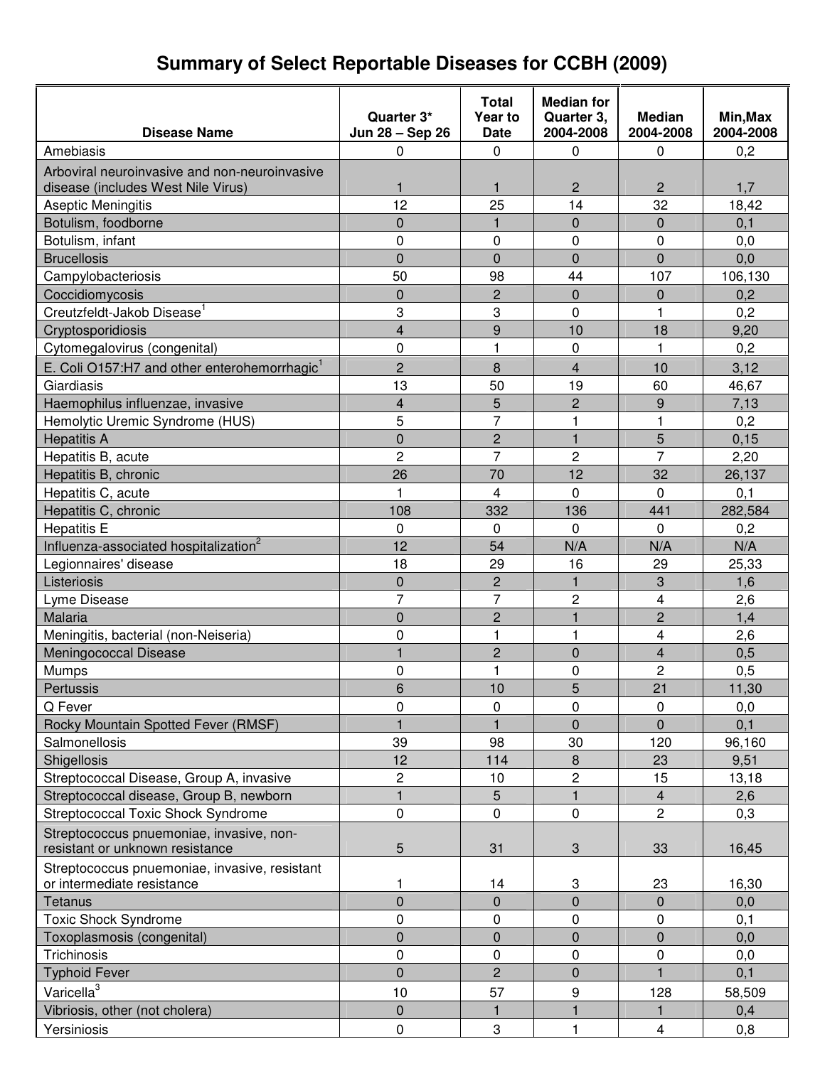# **Summary of Select Reportable Diseases for CCBH (2009)**

|                                                                             | Quarter 3*              | Total<br>Year to | <b>Median for</b><br>Quarter 3, | <b>Median</b>           | Min, Max     |
|-----------------------------------------------------------------------------|-------------------------|------------------|---------------------------------|-------------------------|--------------|
| <b>Disease Name</b>                                                         | Jun 28 - Sep 26         | <b>Date</b>      | 2004-2008                       | 2004-2008               | 2004-2008    |
| Amebiasis                                                                   | 0                       | 0                | 0                               | 0                       | 0,2          |
| Arboviral neuroinvasive and non-neuroinvasive                               |                         |                  |                                 |                         |              |
| disease (includes West Nile Virus)                                          | 1                       | $\mathbf{1}$     | $\overline{c}$                  | $\overline{2}$          | 1,7          |
| Aseptic Meningitis                                                          | 12                      | 25               | 14                              | 32                      | 18,42        |
| Botulism, foodborne                                                         | $\Omega$                | 1                | $\Omega$                        | $\Omega$                | 0,1          |
| Botulism, infant                                                            | 0                       | 0                | 0                               | 0                       | 0,0          |
| <b>Brucellosis</b>                                                          | $\overline{0}$          | $\overline{0}$   | $\overline{0}$                  | $\overline{0}$          | 0,0          |
| Campylobacteriosis                                                          | 50                      | 98               | 44                              | 107                     | 106,130      |
| Coccidiomycosis                                                             | $\mathbf 0$             | $\overline{c}$   | $\overline{0}$                  | 0                       | 0,2          |
| Creutzfeldt-Jakob Disease <sup>1</sup>                                      | 3                       | 3                | 0                               | 1                       | 0,2          |
| Cryptosporidiosis                                                           | $\overline{\mathbf{4}}$ | 9                | 10                              | 18                      | 9,20         |
| Cytomegalovirus (congenital)                                                | $\mathbf 0$             | 1                | $\mathbf 0$                     | $\mathbf{1}$            | 0,2          |
| E. Coli O157:H7 and other enterohemorrhagic <sup>1</sup>                    | $\overline{c}$          | 8                | $\overline{\mathbf{4}}$         | 10                      | 3,12         |
| Giardiasis                                                                  | 13                      | 50               | 19                              | 60                      | 46,67        |
| Haemophilus influenzae, invasive                                            | $\overline{\mathbf{4}}$ | 5                | $\overline{c}$                  | 9                       | 7,13         |
| Hemolytic Uremic Syndrome (HUS)                                             | 5                       | $\overline{7}$   | 1                               | 1                       | 0,2          |
| <b>Hepatitis A</b>                                                          | $\overline{0}$          | $\overline{c}$   | $\mathbf{1}$                    | 5                       | 0,15         |
| Hepatitis B, acute                                                          | $\overline{2}$          | $\overline{7}$   | $\overline{c}$                  | $\overline{7}$          | 2,20         |
| Hepatitis B, chronic                                                        | 26                      | 70               | 12                              | 32                      | 26,137       |
| Hepatitis C, acute                                                          |                         | 4                | 0                               | $\Omega$                | 0,1          |
| Hepatitis C, chronic                                                        | 108                     | 332              | 136                             | 441                     | 282,584      |
| <b>Hepatitis E</b>                                                          | $\Omega$                | 0                | $\Omega$                        | $\Omega$                | 0,2          |
| Influenza-associated hospitalization <sup>2</sup>                           | 12                      | 54               | N/A                             | N/A                     | N/A          |
| Legionnaires' disease                                                       | 18                      | 29               | 16                              | 29                      | 25,33        |
| Listeriosis                                                                 | $\mathbf 0$             | $\overline{2}$   | $\mathbf{1}$                    | 3                       | 1,6          |
| Lyme Disease                                                                | $\overline{7}$          | $\overline{7}$   | 2                               | 4                       | 2,6          |
| Malaria                                                                     | $\overline{0}$          | $\overline{c}$   | $\mathbf{1}$                    | $\overline{c}$          | 1,4          |
| Meningitis, bacterial (non-Neiseria)                                        | 0                       | 1                | 1                               | 4                       | 2,6          |
| Meningococcal Disease                                                       |                         | $\overline{c}$   | $\overline{0}$                  | $\overline{\mathbf{4}}$ | 0,5          |
|                                                                             | $\mathbf 0$             | 1                | 0                               | 2                       |              |
| <b>Mumps</b><br>Pertussis                                                   | 6                       | 10               | 5                               | 21                      | 0,5<br>11,30 |
|                                                                             |                         |                  |                                 |                         |              |
| Q Fever                                                                     | 0                       | 0                | 0                               | 0                       | 0,0          |
| Rocky Mountain Spotted Fever (RMSF)                                         | 39                      |                  | 0                               | $\overline{0}$          | 0,1          |
| Salmonellosis                                                               |                         | 98               | 30                              | 120                     | 96,160       |
| Shigellosis                                                                 | 12                      | 114              | 8                               | 23                      | 9,51         |
| Streptococcal Disease, Group A, invasive                                    | 2                       | 10               | 2                               | 15                      | 13,18        |
| Streptococcal disease, Group B, newborn                                     | 1                       | 5                | $\mathbf{1}$                    | $\overline{4}$          | 2,6          |
| <b>Streptococcal Toxic Shock Syndrome</b>                                   | 0                       | 0                | $\mathbf 0$                     | 2                       | 0,3          |
| Streptococcus pnuemoniae, invasive, non-<br>resistant or unknown resistance | 5                       | 31               | 3                               | 33                      | 16,45        |
| Streptococcus pnuemoniae, invasive, resistant                               |                         |                  |                                 |                         |              |
| or intermediate resistance                                                  | 1                       | 14               | 3                               | 23                      | 16,30        |
| Tetanus                                                                     | $\overline{0}$          | $\overline{0}$   | $\overline{0}$                  | $\mathbf{0}$            | 0,0          |
| <b>Toxic Shock Syndrome</b>                                                 | 0                       | 0                | 0                               | 0                       | 0,1          |
| Toxoplasmosis (congenital)                                                  | $\mathbf 0$             | $\overline{0}$   | 0                               | $\mathbf 0$             | 0,0          |
| Trichinosis                                                                 | 0                       | 0                | $\pmb{0}$                       | 0                       | 0,0          |
| <b>Typhoid Fever</b>                                                        | $\mathbf 0$             | $\overline{c}$   | 0                               |                         | 0,1          |
| Varicella <sup>3</sup>                                                      | 10                      | 57               | 9                               | 128                     | 58,509       |
| Vibriosis, other (not cholera)                                              | $\mathbf 0$             |                  |                                 |                         | 0,4          |
| Yersiniosis                                                                 | 0                       | $\sqrt{3}$       | $\mathbf{1}$                    | $\overline{\mathbf{4}}$ | 0,8          |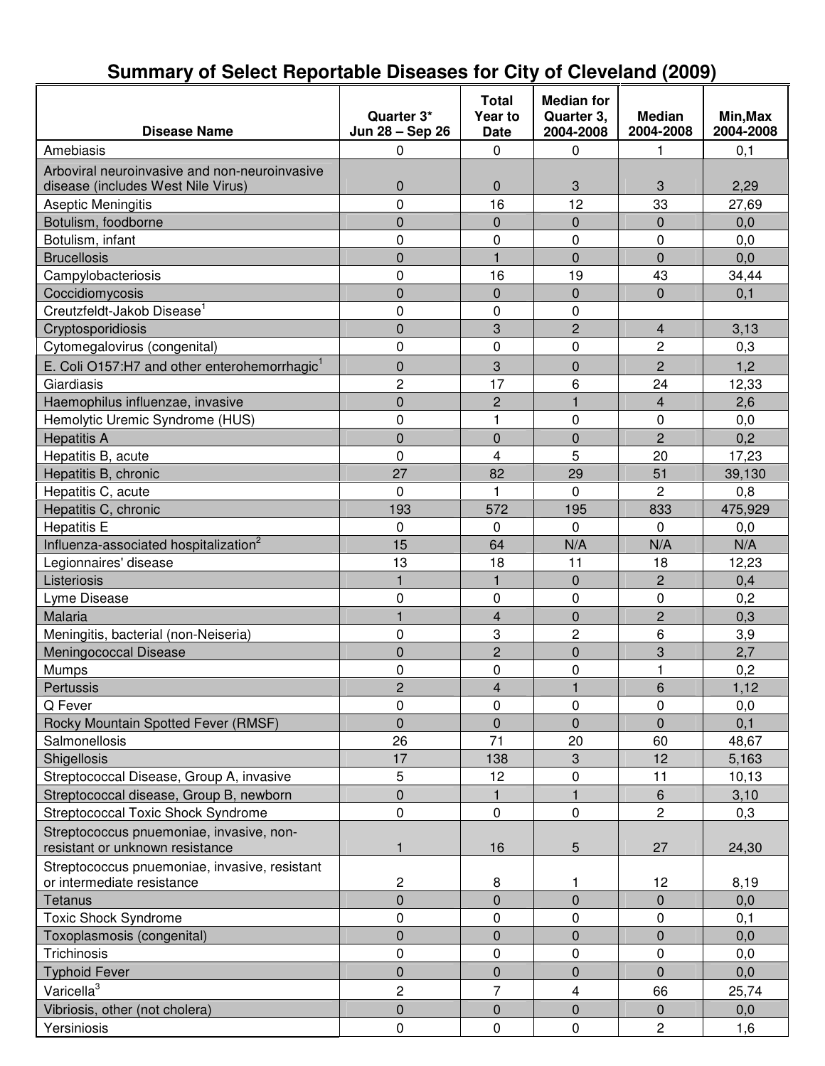#### **Disease Name Quarter 3\* Jun 28 – Sep 26 Total Year to Date Median for Quarter 3, 2004-2008 Median 2004-2008 Min,Max 2004-2008** Amebiasis | 0 | 0 | 0 | 1 | 0,1 Arboviral neuroinvasive and non-neuroinvasive disease (includes West Nile Virus) 0 0 3 3 2,29 Aseptic Meningitis **Aseptic Meningitis** 10 16 16 12 12 33 27,69 Botulism, foodborne **1** 0 0 0 0 0 0 0 0,0 Botulism, infant | 0 | 0 | 0 | 0,0 Brucellosis 0 1 0 0 0,0 Campylobacteriosis 0 16 19 43 34,44 Coccidiomycosis 0 0 0 0 0,1 Creutzfeldt-Jakob Disease 1 0 0 0 Cryptosporidiosis 0 3 2 4 3,13 Cytomegalovirus (congenital) 0 0 0 2 0,3 E. Coli O157:H7 and other enterohemorrhagic<sup>1</sup> 0 3 0 2 1,2 Giardiasis 2 17 6 24 12,33 Haemophilus influenzae, invasive 0 2 1 4 2,6 Hemolytic Uremic Syndrome (HUS)  $\begin{array}{cccc} | & 0 & 1 & 0 \\ \end{array}$  1 0 0 0,0 Hepatitis A | 0 | 0 | 0 | 2 | 0,2 Hepatitis B, acute 0 4 5 20 17,23 Hepatitis B, chronic 2000 2000 2000 27 82 29 39,130 Hepatitis C, acute **1** 0 1 0 1 0 2 0,8 Hepatitis C, chronic 193 193 195 | 833 | 475,929 Hepatitis E 0 0 0 0,0 Influenza-associated hospitalization 2 15 | 64 | N/A | N/A | N/A Legionnaires' disease 13 13 18 11 18 12,23 Listeriosis 1 1 0 2 0,4 Lyme Disease 0 0 0 0 0,2 Malaria 1 - 1 - 1 - 1 - 1 - 1 - 0 - 1 - 2 0,3 Meningitis, bacterial (non-Neiseria) | 0 | 3 | 2 | 6 | 3,9 Meningococcal Disease **1** 0 2 0 3 2,7 Mumps 0 0 0 1 0,2 Pertussis 2 4 1 6 1,12 Q Fever 0 0 0 0 0,0 Rocky Mountain Spotted Fever (RMSF) 0 0 0 0 0 0,1 Salmonellosis 26 1 20 60 48,67 Shigellosis 17 138 | 3 | 12 | 5,163 | 5,163 | 5,163 | 5,163 | 5,163 | 5,163 | 5,163 | 5,163 | 5,163 | 5,163 | Streptococcal Disease, Group A, invasive 5 12 0 11 10,13 Streptococcal disease, Group B, newborn 0 1 1 6 3,10 Streptococcal Toxic Shock Syndrome 0 0 0 2 0,3 Streptococcus pnuemoniae, invasive, nonresistant or unknown resistance  $\begin{vmatrix} 1 & 1 \\ 1 & 16 \end{vmatrix}$  16  $\begin{vmatrix} 5 & 27 \\ 27 & 24.30 \end{vmatrix}$  24.30 Streptococcus pnuemoniae, invasive, resistant or intermediate resistance <br>
2 1 8 1 12 8,19 Tetanus 0 0 0 0 0,0 Toxic Shock Syndrome **1** 0 0 0 0 0 0,1 Toxoplasmosis (congenital) and the control of the control of the control of the control of the control of the control of the control of the control of the control of the control of the control of the control of the control Trichinosis | 0 | 0 | 0 | 0,0 0,0 Typhoid Fever 0 0 0 0 0,0 Varicella<sup>3</sup> 2 7 4 66 25,74 Vibriosis, other (not cholera) 0 0 0 0 0,0 Yersiniosis | 0 | 0 | 2 | 1,6

### **Summary of Select Reportable Diseases for City of Cleveland (2009)**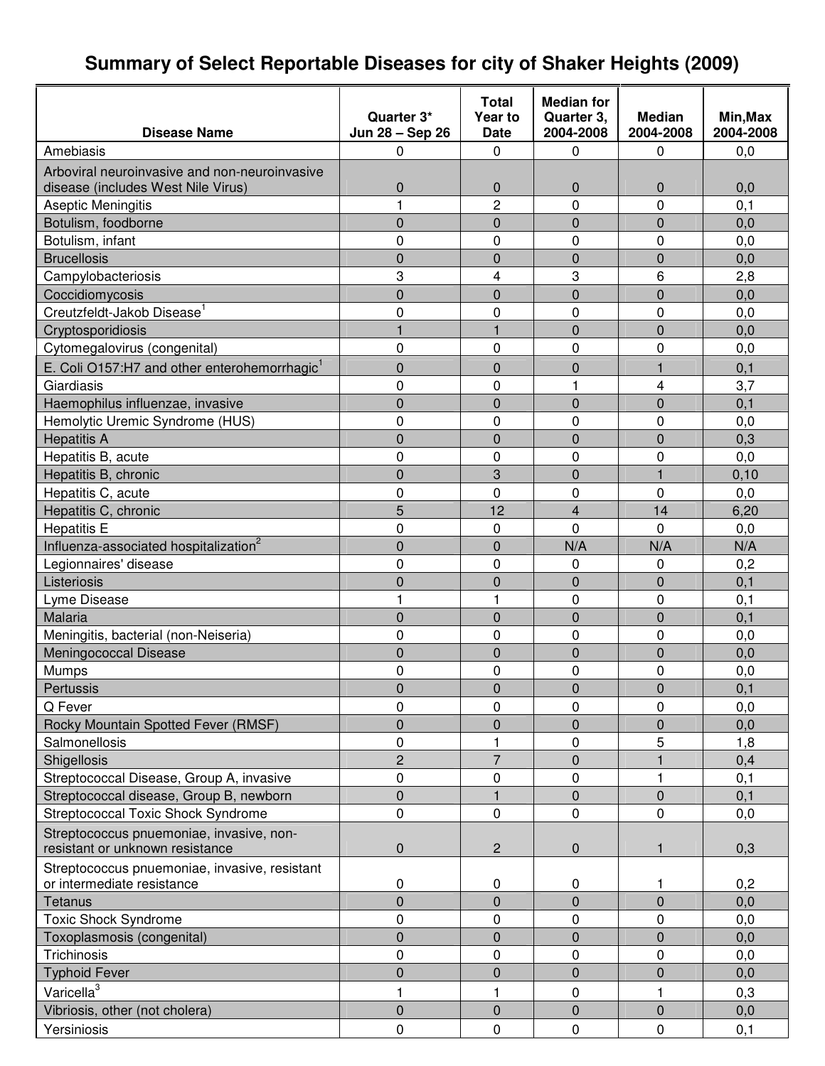# **Summary of Select Reportable Diseases for city of Shaker Heights (2009)**

|                                                          |                 | Total            | <b>Median for</b> |                |           |
|----------------------------------------------------------|-----------------|------------------|-------------------|----------------|-----------|
|                                                          | Quarter 3*      | Year to          | Quarter 3,        | <b>Median</b>  | Min, Max  |
| <b>Disease Name</b>                                      | Jun 28 - Sep 26 | <b>Date</b>      | 2004-2008         | 2004-2008      | 2004-2008 |
| Amebiasis                                                | 0               | $\Omega$         | 0                 | 0              | 0,0       |
| Arboviral neuroinvasive and non-neuroinvasive            |                 |                  |                   |                |           |
| disease (includes West Nile Virus)                       | $\mathbf 0$     | $\mathbf 0$      | $\mathbf 0$       | 0              | 0,0       |
| Aseptic Meningitis                                       | 1               | 2                | 0                 | 0              | 0, 1      |
| Botulism, foodborne                                      | $\overline{0}$  | $\overline{0}$   | $\mathbf 0$       | $\overline{0}$ | 0,0       |
| Botulism, infant                                         | 0               | 0                | $\mathbf 0$       | 0              | 0,0       |
| <b>Brucellosis</b>                                       | 0               | 0                | $\overline{0}$    | 0              | 0,0       |
| Campylobacteriosis                                       | 3               | 4                | 3                 | 6              | 2,8       |
| Coccidiomycosis                                          | $\overline{0}$  | $\mathbf 0$      | $\overline{0}$    | $\mathbf 0$    | 0,0       |
| Creutzfeldt-Jakob Disease <sup>1</sup>                   | 0               | 0                | 0                 | 0              | 0,0       |
| Cryptosporidiosis                                        | 1               | $\mathbf{1}$     | $\mathbf 0$       | $\mathbf 0$    | 0,0       |
| Cytomegalovirus (congenital)                             | 0               | 0                | $\mathbf 0$       | 0              | 0,0       |
| E. Coli O157:H7 and other enterohemorrhagic <sup>1</sup> | 0               | 0                | $\mathbf 0$       | 1              | 0,1       |
| Giardiasis                                               | 0               | 0                | 1                 | 4              | 3,7       |
| Haemophilus influenzae, invasive                         | 0               | $\mathbf 0$      | $\overline{0}$    | 0              | 0,1       |
| Hemolytic Uremic Syndrome (HUS)                          | 0               | 0                | $\mathbf 0$       | 0              | 0,0       |
| <b>Hepatitis A</b>                                       | $\overline{0}$  | $\overline{0}$   | $\overline{0}$    | $\overline{0}$ | 0,3       |
| Hepatitis B, acute                                       | 0               | 0                | $\mathbf 0$       | 0              | 0,0       |
| Hepatitis B, chronic                                     | 0               | 3                | $\overline{0}$    | 1              | 0,10      |
| Hepatitis C, acute                                       | 0               | $\mathbf 0$      | $\overline{0}$    | 0              | 0,0       |
| Hepatitis C, chronic                                     | 5               | 12               | $\overline{4}$    | 14             | 6,20      |
| <b>Hepatitis E</b>                                       | 0               | 0                | 0                 | 0              | 0,0       |
| Influenza-associated hospitalization <sup>2</sup>        | $\overline{0}$  | $\mathbf 0$      | N/A               | N/A            | N/A       |
| Legionnaires' disease                                    | 0               | 0                | 0                 | 0              | 0,2       |
| Listeriosis                                              | 0               | 0                | $\Omega$          | 0              | 0,1       |
| Lyme Disease                                             | 1               | $\mathbf{1}$     | $\mathbf 0$       | 0              | 0,1       |
| Malaria                                                  | $\overline{0}$  | $\mathbf 0$      | $\mathbf 0$       | $\mathbf 0$    | 0,1       |
| Meningitis, bacterial (non-Neiseria)                     | 0               | 0                | 0                 | 0              | 0,0       |
| Meningococcal Disease                                    | 0               | $\overline{0}$   | $\overline{0}$    | $\overline{0}$ | 0,0       |
| Mumps                                                    | 0               | $\mathbf 0$      | $\mathbf 0$       | 0              | 0,0       |
| Pertussis                                                | 0               | $\boldsymbol{0}$ | $\pmb{0}$         | $\overline{0}$ | 0,1       |
| Q Fever                                                  | 0               | 0                | $\Omega$          | 0              | 0,0       |
| Rocky Mountain Spotted Fever (RMSF)                      | $\mathbf 0$     | 0                | $\mathbf 0$       | 0              | 0,0       |
| Salmonellosis                                            | 0               | 1                | 0                 | 5              | 1,8       |
| Shigellosis                                              | $\overline{c}$  | $\overline{7}$   | $\mathbf 0$       |                | 0,4       |
| Streptococcal Disease, Group A, invasive                 | 0               | 0                | 0                 | 1              | 0,1       |
| Streptococcal disease, Group B, newborn                  | $\mathbf 0$     | $\mathbf{1}$     | $\mathbf 0$       | $\mathbf 0$    | 0,1       |
| <b>Streptococcal Toxic Shock Syndrome</b>                | 0               | 0                | 0                 | 0              | 0,0       |
| Streptococcus pnuemoniae, invasive, non-                 |                 |                  |                   |                |           |
| resistant or unknown resistance                          | 0               | $\overline{c}$   | $\pmb{0}$         | 1              | 0,3       |
| Streptococcus pnuemoniae, invasive, resistant            |                 |                  |                   |                |           |
| or intermediate resistance                               | 0               | 0                | 0                 | 1              | 0,2       |
| Tetanus                                                  | $\overline{0}$  | $\overline{0}$   | $\mathbf 0$       | $\overline{0}$ | 0,0       |
| <b>Toxic Shock Syndrome</b>                              | 0               | 0                | 0                 | 0              | 0,0       |
| Toxoplasmosis (congenital)                               | $\overline{0}$  | $\overline{0}$   | $\mathbf 0$       | $\overline{0}$ | 0,0       |
| Trichinosis                                              | 0               | 0                | $\mathbf 0$       | 0              | 0,0       |
| <b>Typhoid Fever</b>                                     | $\mathbf 0$     | 0                | $\mathbf 0$       | $\mathbf 0$    | 0,0       |
| Varicella <sup>3</sup>                                   | 1               | 1                | 0                 | 1              | 0,3       |
| Vibriosis, other (not cholera)                           | $\overline{0}$  | $\mathbf 0$      | $\mathbf 0$       | $\overline{0}$ | 0,0       |
| Yersiniosis                                              | $\pmb{0}$       | $\pmb{0}$        | $\pmb{0}$         | $\pmb{0}$      | 0,1       |